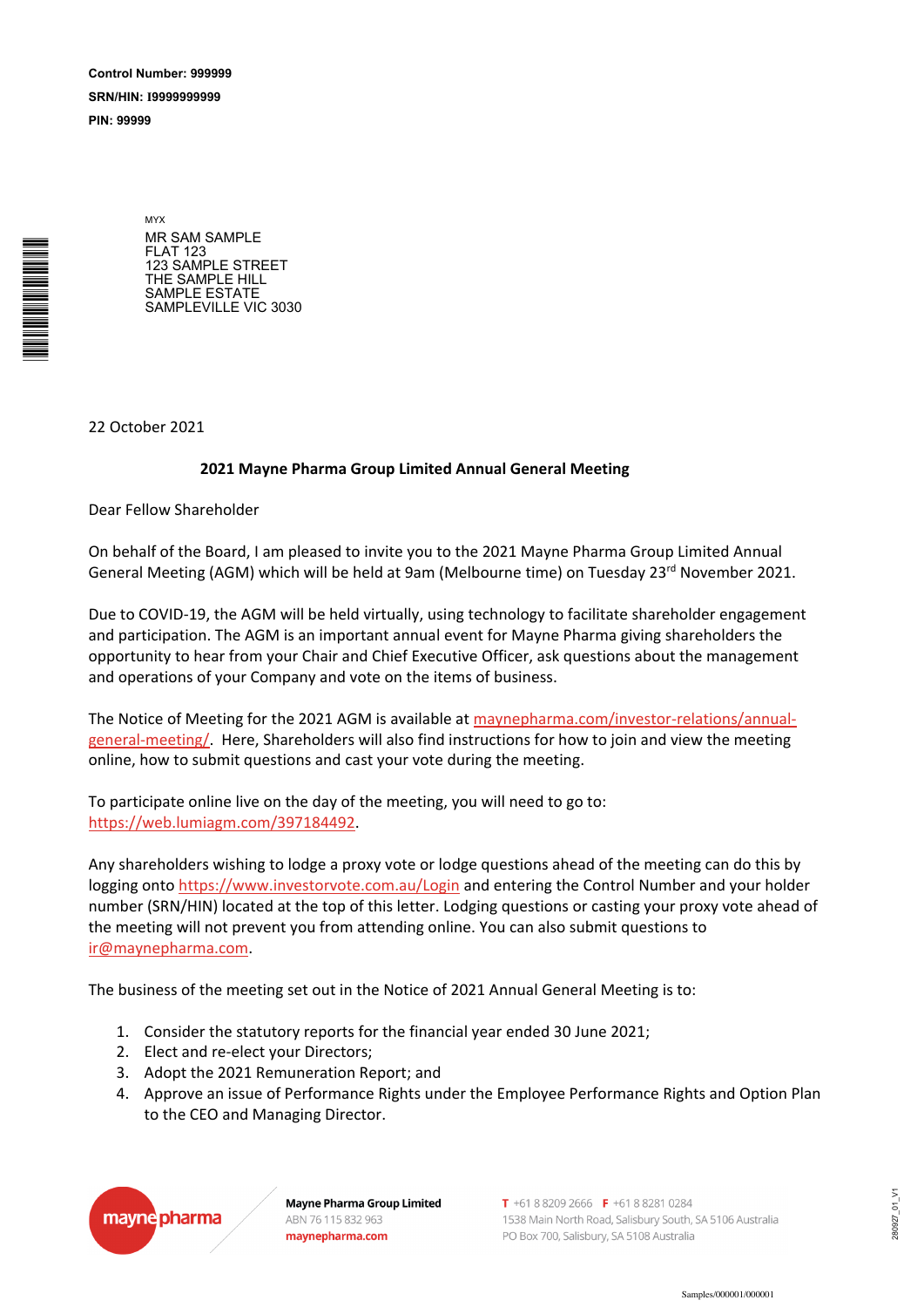SRN/HIN: I9999999999 Control Number: 999999

PIN: 99999

\*<br>\* London<br>Timografia

MYX MR SAM SAMPLE FLAT 123 123 SAMPLE STREET THE SAMPLE HILL SAMPLE ESTATE SAMPLEVILLE VIC 3030

22 October 2021

## **2021 Mayne Pharma Group Limited Annual General Meeting**

Dear Fellow Shareholder

On behalf of the Board, I am pleased to invite you to the 2021 Mayne Pharma Group Limited Annual General Meeting (AGM) which will be held at 9am (Melbourne time) on Tuesday 23<sup>rd</sup> November 2021.

Due to COVID-19, the AGM will be held virtually, using technology to facilitate shareholder engagement and participation. The AGM is an important annual event for Mayne Pharma giving shareholders the opportunity to hear from your Chair and Chief Executive Officer, ask questions about the management and operations of your Company and vote on the items of business.

The Notice of Meeting for the 2021 AGM is available at maynepharma.com/investor-relations/annualgeneral-meeting/. Here, Shareholders will also find instructions for how to join and view the meeting online, how to submit questions and cast your vote during the meeting.

To participate online live on the day of the meeting, you will need to go to: https://web.lumiagm.com/397184492.

Any shareholders wishing to lodge a proxy vote or lodge questions ahead of the meeting can do this by logging onto https://www.investorvote.com.au/Login and entering the Control Number and your holder number (SRN/HIN) located at the top of this letter. Lodging questions or casting your proxy vote ahead of the meeting will not prevent you from attending online. You can also submit questions to ir@maynepharma.com.

The business of the meeting set out in the Notice of 2021 Annual General Meeting is to:

- 1. Consider the statutory reports for the financial year ended 30 June 2021;
- 2. Elect and re-elect your Directors;
- 3. Adopt the 2021 Remuneration Report; and
- 4. Approve an issue of Performance Rights under the Employee Performance Rights and Option Plan to the CEO and Managing Director.



**Mayne Pharma Group Limited** ABN 76 115 832 963 maynepharma.com

T +61 8 8209 2666 F +61 8 8281 0284 1538 Main North Road, Salisbury South, SA 5106 Australia PO Box 700, Salisbury, SA 5108 Australia